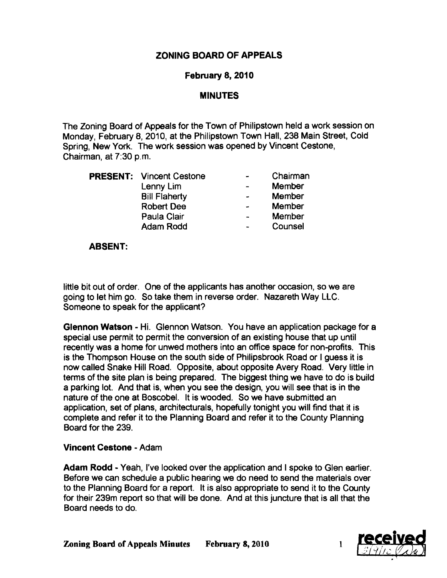# ZONING BOARD OF APPEALS

## February 8, 2010

# MINUTES

The Zoning Board of Appeals for the Town of Philipstown held a work session on Monday, February 8,2010, at the Philipstown Town Hall, 238 Main Street, Cold Spring, New York. The work session was opened by Vincent Cestone, Chairman, at 7:30 p.m.

|  | <b>PRESENT: Vincent Cestone</b> |                          | Chairman |
|--|---------------------------------|--------------------------|----------|
|  | Lenny Lim                       |                          | Member   |
|  | <b>Bill Flaherty</b>            | $\blacksquare$           | Member   |
|  | <b>Robert Dee</b>               |                          | Member   |
|  | Paula Clair                     | $\rightarrow$            | Member   |
|  | Adam Rodd                       | $\overline{\phantom{a}}$ | Counsel  |

### ABSENT:

little bit out of order. One of the applicants has another occasion, so we are going to let him go. So take them in reverse order. Nazareth Way LLC. Someone to speak for the applicant?

Glennon Watson - Hi. Glennon Watson. You have an application package for a special use permit to permit the conversion of an existing house that up until recently was a home for unwed mothers into an office space for non-profits. This is the Thompson House on the south side of Philipsbrook Road or I guess it is now called Snake Hill Road. Opposite, about opposite Avery Road. Very little in terms of the site plan is being prepared. The biggest thing we have to do is build a parking lot. And that is, when you see the design, you will see that is in the nature of the one at Boscobel. It is wooded. So we have submitted an application, set of plans, architecturals, hopefully tonight you will find that it is complete and refer it to the Planning Board and refer it to the County Planning Board for the 239.

## Vincent Cestone • Adam

Adam Rodd • Yeah, I've looked over the application and I spoke to Glen earlier. Before we can schedule a public hearing we do need to send the materials over to the Planning Board for a report. It is also appropriate to send it to the County for their 239m report so that will be done. And at this juncture that is all that the Board needs to do.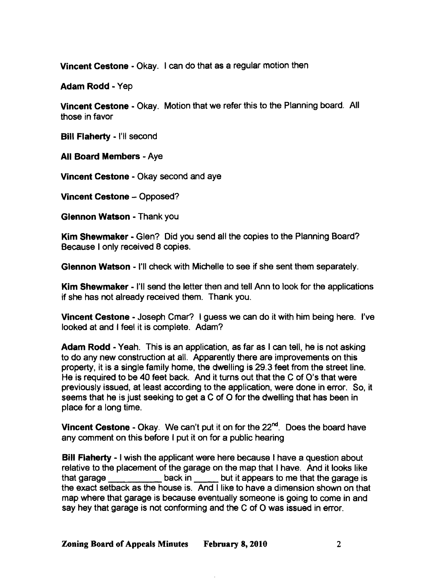Vincent Cestone • Okay. I can do that as a regular motion then

Adam Rodd - Yep

Vincent Cestone - Okay. Motion that we refer this to the Planning board. All those in favor

Bill Flaherty - I'll second

All Board Members - Aye

Vincent Cestone - Okay second and aye

Vincent Cestone - Opposed?

Glennon Watson - Thank you

Kim Shewmaker - Glen? Did you send all the copies to the Planning Board? Because I only received 8 copies.

Glennon Watson - I'll check with Michelle to see if she sent them separately.

Kim Shewmaker - I'll send the letter then and tell Ann to look for the applications if she has not already received them. Thank you.

Vincent Cestone • Joseph Cmar? I guess we can do it with him being here. I've looked at and I feel it is complete. Adam?

Adam Rodd - Yeah. This is an application, as far as I can tell, he is not asking to do any new construction at all. Apparently there are improvements on this property, it is a single family home, the dwelling is 29.3 feet from the street line. He is required to be 40 feet back. And it turns out that the C of O's that were previously issued, at least according to the application, were done in error. So, it seems that he is just seeking to get a C of O for the dwelling that has been in place for a long time.

**Vincent Cestone - Okay.** We can't put it on for the  $22<sup>nd</sup>$ . Does the board have any comment on this before I put it on for a public hearing

Bill Flaherty - I wish the applicant were here because I have a question about relative to the placement of the garage on the map that I have. And it looks like that garage back in but it appears to me that the garage is the exact setback as the house is. And I like to have a dimension shown on that map where that garage is because eventually someone is going to come in and say hey that garage is not conforming and the C of 0 was issued in error.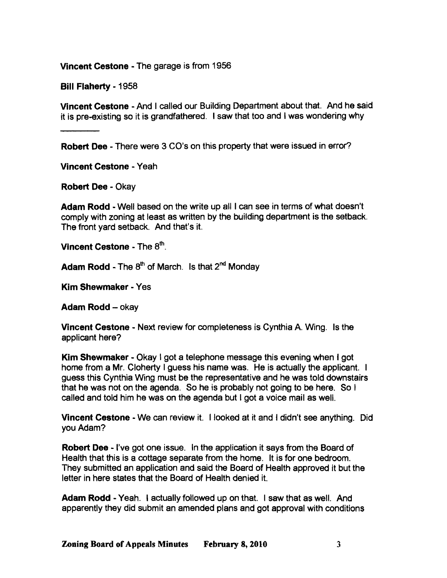Vincent Cestone - The garage is from 1956

Bill Flaherty - 1958

Vincent Cestone - And I called our Building Department about that. And he said it is pre-existing so it is grandfathered. I saw that too and I was wondering why

Robert Dee - There were 3 CO's on this property that were issued in error?

Vincent Cestone - Yeah

Robert Dee - Okay

Adam Rodd - Well based on the write up all I can see in terms of what doesn't comply with zoning at least as written by the building department is the setback. The front yard setback. And that's it.

Vincent Cestone - The  $8<sup>th</sup>$ .

Adam Rodd - The  $8<sup>th</sup>$  of March. Is that  $2<sup>nd</sup>$  Mondav

Kim Shewmaker - Yes

Adam Rodd - okay

Vincent Cestone - Next review for completeness is Cynthia A. Wing. Is the applicant here?

Kim Shewmaker - Okay I got a telephone message this evening when I got home from a Mr. Cloherty I guess his name was. He is actually the applicant. I guess this Cynthia Wing must be the representative and he was told downstairs that he was not on the agenda. So he is probably not going to be here. So I called and told him he was on the agenda but I got a voice mail as well.

Vincent Cestone - We can review it. I looked at it and I didn't see anything. Did you Adam?

Robert Dee - I've got one issue. In the application it says from the Board of Health that this is a cottage separate from the home. It is for one bedroom. They submitted an application and said the Board of Health approved it but the letter in here states that the Board of Health denied it.

Adam Rodd - Yeah. I actually followed up on that. I saw that as well. And apparently they did submit an amended plans and got approval with conditions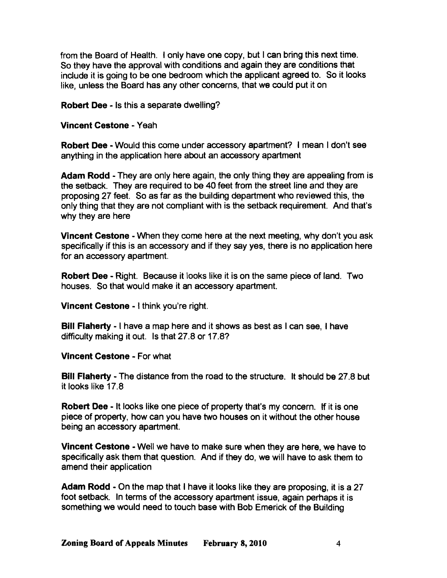from the Board of Health. I only have one copy, but I can bring this next time. So they have the approval with conditions and again they are conditions that include it is going to be one bedroom which the applicant agreed to. So it looks like, unless the Board has any other concerns, that we could put it on

Robert Dee· Is this a separate dwelling?

#### Vincent Cestone • Yeah

Robert Dee - Would this come under accessory apartment? I mean I don't see anything in the application here about an accessory apartment

Adam Rodd • They are only here again, the only thing they are appealing from is the setback. They are required to be 40 feet from the street line and they are proposing 27 feet. So as far as the building department who reviewed this, the only thing that they are not compliant with is the setback requirement. And that's why they are here

Vincent Cestone - When they come here at the next meeting, why don't you ask specifically if this is an accessory and if they say yes, there is no application here for an accessory apartment.

Robert Dee • Right. Because it looks like it is on the same piece of land. Two houses. So that would make it an accessory apartment.

Vincent Cestone • I think you're right.

Bill Flaherty - I have a map here and it shows as best as I can see, I have difficulty making it out. Is that 27.8 or 17.8?

Vincent Cestone • For what

Bill Flaherty - The distance from the road to the structure. It should be 27.8 but it looks like 17.8

Robert Dee - It looks like one piece of property that's my concern. If it is one piece of property, how can you have two houses on it without the other house being an accessory apartment.

Vincent Cestone • Well we have to make sure when they are here, we have to specifically ask them that question. And if they do, we will have to ask them to amend their application

Adam Rodd - On the map that I have it looks like they are proposing, it is a 27 foot setback. In terms of the accessory apartment issue, again perhaps it is something we would need to touch base with Bob Emerick of the Building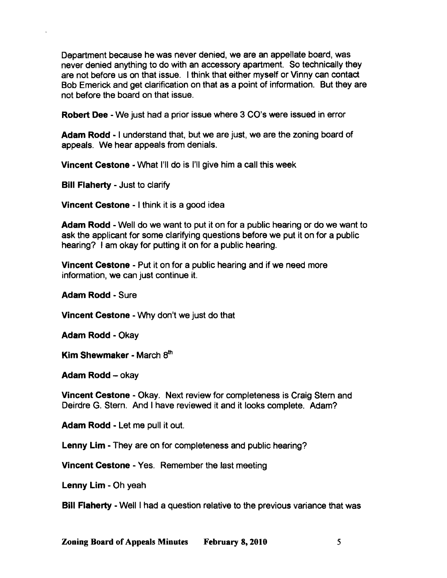Department because he was never denied, we are an appellate board, was never denied anything to do with an accessory apartment. So technically they are not before us on that issue. I think that either myself or Vinny can contact Bob Emerick and get clarification on that as a point of information. But they are not before the board on that issue.

Robert Dee - We just had a prior issue where 3 CO's were issued in error

Adam Rodd - I understand that, but we are just, we are the zoning board of appeals. We hear appeals from denials.

Vincent Cestone - What I'll do is I'll give him a call this week

Bill Flaherty - Just to clarify

Vincent Cestone - I think it is a good idea

Adam Rodd - Well do we want to put it on for a public hearing or do we want to ask the applicant for some clarifying questions before we put it on for a public hearing? I am okay for putting it on for a public hearing.

Vincent Cestone - Put it on for a public hearing and if we need more information, we can just continue it.

Adam Rodd - Sure

Vincent Cestone - Why don't we just do that

Adam Rodd - Okay

Kim Shewmaker - March  $8<sup>th</sup>$ 

Adam Rodd - okay

Vincent Cestone - Okay. Next review for completeness is Craig Stem and Deirdre G. Stern. And I have reviewed it and it looks complete. Adam?

Adam Rodd - Let me pull it out.

Lenny Lim - They are on for completeness and public hearing?

Vincent Cestone - Yes. Remember the last meeting

Lenny Lim - Oh yeah

**Bill Flaherty - Well I had a question relative to the previous variance that was**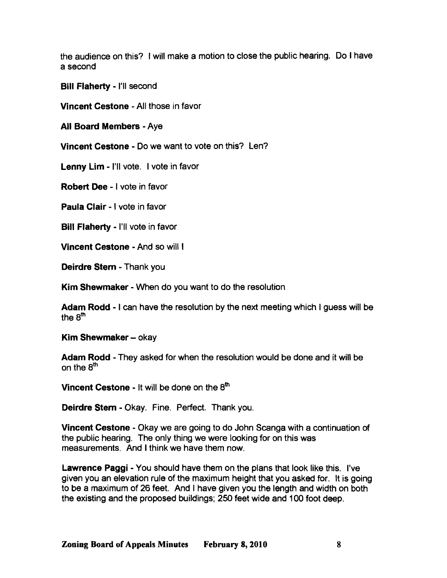the audience on this? I will make a motion to close the public hearing. Do I have a second

Bill Flaherty - I'll second

Vincent Cestone - All those in favor

All Board Members - Aye

Vincent Cestone - Do we want to vote on this? len?

Lenny Lim - I'll vote. I vote in favor

Robert Dee - I vote in favor

Paula Clair - I vote in favor

Bill Flaherty - I'll vote in favor

Vincent Cestone - And so will I

Deirdre Stem - Thank you

Kim Shewmaker - When do you want to do the resolution

Adam Rodd - I can have the resolution by the next meeting which I guess will be the  $8<sup>th</sup>$ 

Kim Shewmaker - okay

Adam Rodd - They asked for when the resolution would be done and it will be on the 8<sup>th</sup>

Vincent Cestone - It will be done on the 8<sup>th</sup>

Deirdre Stem - Okay. Fine. Perfect. Thank you.

Vincent Cestone - Okay we are going to do John Scanga with a continuation of the public hearing. The only thing we were looking for on this was measurements. And I think we have them now.

Lawrence Paggi - You should have them on the plans that look like this. I've given you an elevation rule of the maximum height that you asked for. It is going to be a maximum of 26 feet. And I have given you the length and width on both the existing and the proposed buildings; 250 feet wide and 100 foot deep.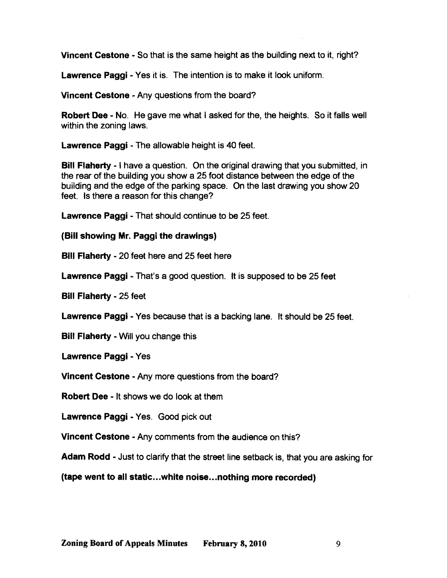Vincent Cestone - So that is the same height as the building next to it, right?

**Lawrence Paggi - Yes it is. The intention is to make it look uniform.** 

Vincent Cestone - Any questions from the board?

**Robert Dee - No.** He gave me what I asked for the, the heights. So it falls well within the zoning laws.

Lawrence Paggi - The allowable height is 40 feet.

Bill Flaherty - I have a question. On the original drawing that you submitted, in the rear of the building you show a 25 foot distance between the edge of the building and the edge of the parking space. On the last drawing you show 20 feet. Is there a reason for this change?

**Lawrence Paggi - That should continue to be 25 feet.** 

(Bill showing Mr. Paggi the drawings)

Bill Flaherty - 20 feet here and 25 feet here

**Lawrence Paggi** - That's a good question. It is supposed to be 25 feet

**Bill Flaherty - 25 feet** 

**Lawrence Paggi - Yes because that is a backing lane. It should be 25 feet.** 

Bill Flaherty - Will you change this

Lawrence Paggi - Yes

Vincent Cestone - Any more questions from the board?

**Robert Dee - It shows we do look at them** 

Lawrence Paggi - Yes. Good pick out

Vincent Cestone - Any comments from the audience on this?

Adam Rodd - Just to clarify that the street line setback is, that you are asking for

(tape went to all static...white noise..•nothing more recorded)